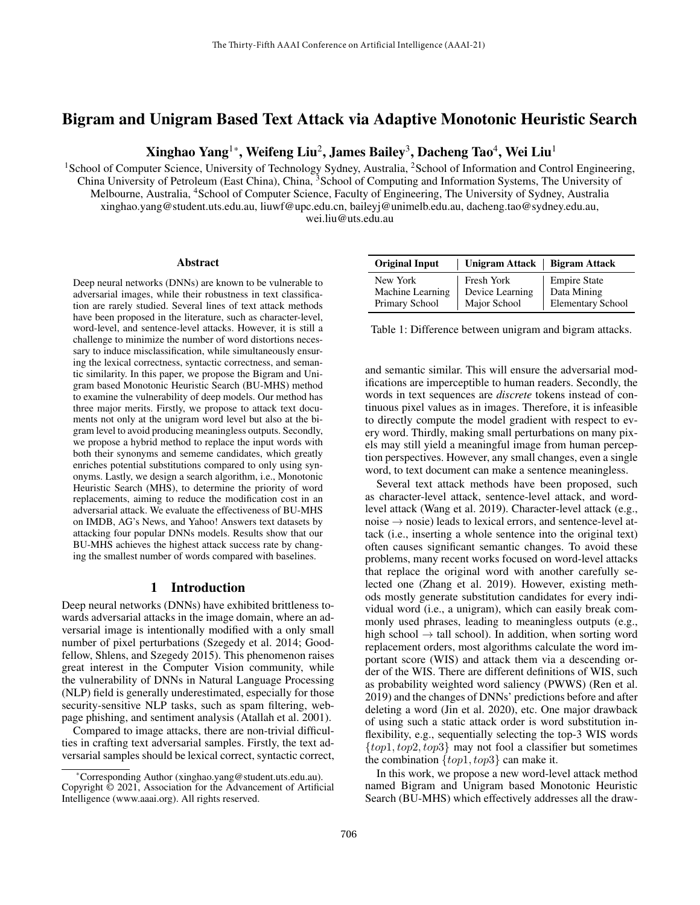# Bigram and Unigram Based Text Attack via Adaptive Monotonic Heuristic Search

Xinghao Yang $^{1*}$ , Weifeng Liu $^{2}$ , James Bailey $^{3}$ , Dacheng Tao $^{4}$ , Wei Liu $^{1}$ 

<sup>1</sup>School of Computer Science, University of Technology Sydney, Australia, <sup>2</sup>School of Information and Control Engineering, China University of Petroleum (East China), China, <sup>3</sup>School of Computing and Information Systems, The University of Melbourne, Australia, <sup>4</sup>School of Computer Science, Faculty of Engineering, The University of Sydney, Australia xinghao.yang@student.uts.edu.au, liuwf@upc.edu.cn, baileyj@unimelb.edu.au, dacheng.tao@sydney.edu.au, wei.liu@uts.edu.au

#### Abstract

Deep neural networks (DNNs) are known to be vulnerable to adversarial images, while their robustness in text classification are rarely studied. Several lines of text attack methods have been proposed in the literature, such as character-level. word-level, and sentence-level attacks. However, it is still a challenge to minimize the number of word distortions necessary to induce misclassification, while simultaneously ensuring the lexical correctness, syntactic correctness, and semantic similarity. In this paper, we propose the Bigram and Unigram based Monotonic Heuristic Search (BU-MHS) method to examine the vulnerability of deep models. Our method has three major merits. Firstly, we propose to attack text documents not only at the unigram word level but also at the bigram level to avoid producing meaningless outputs. Secondly, we propose a hybrid method to replace the input words with both their synonyms and sememe candidates, which greatly enriches potential substitutions compared to only using synonyms. Lastly, we design a search algorithm, i.e., Monotonic Heuristic Search (MHS), to determine the priority of word replacements, aiming to reduce the modification cost in an adversarial attack. We evaluate the effectiveness of BU-MHS on IMDB, AG's News, and Yahoo! Answers text datasets by attacking four popular DNNs models. Results show that our BU-MHS achieves the highest attack success rate by changing the smallest number of words compared with baselines.

#### 1 Introduction

Deep neural networks (DNNs) have exhibited brittleness towards adversarial attacks in the image domain, where an adversarial image is intentionally modified with a only small number of pixel perturbations (Szegedy et al. 2014; Goodfellow, Shlens, and Szegedy 2015). This phenomenon raises great interest in the Computer Vision community, while the vulnerability of DNNs in Natural Language Processing (NLP) field is generally underestimated, especially for those security-sensitive NLP tasks, such as spam filtering, webpage phishing, and sentiment analysis (Atallah et al. 2001).

Compared to image attacks, there are non-trivial difficulties in crafting text adversarial samples. Firstly, the text adversarial samples should be lexical correct, syntactic correct,

| <b>Original Input</b> | Unigram Attack   Bigram Attack |                          |
|-----------------------|--------------------------------|--------------------------|
| New York              | Fresh York                     | <b>Empire State</b>      |
| Machine Learning      | Device Learning                | Data Mining              |
| Primary School        | Major School                   | <b>Elementary School</b> |

Table 1: Difference between unigram and bigram attacks.

and semantic similar. This will ensure the adversarial modifications are imperceptible to human readers. Secondly, the words in text sequences are *discrete* tokens instead of continuous pixel values as in images. Therefore, it is infeasible to directly compute the model gradient with respect to every word. Thirdly, making small perturbations on many pixels may still yield a meaningful image from human perception perspectives. However, any small changes, even a single word, to text document can make a sentence meaningless.

Several text attack methods have been proposed, such as character-level attack, sentence-level attack, and wordlevel attack (Wang et al. 2019). Character-level attack (e.g., noise  $\rightarrow$  nosie) leads to lexical errors, and sentence-level attack (i.e., inserting a whole sentence into the original text) often causes significant semantic changes. To avoid these problems, many recent works focused on word-level attacks that replace the original word with another carefully selected one (Zhang et al. 2019). However, existing methods mostly generate substitution candidates for every individual word (i.e., a unigram), which can easily break commonly used phrases, leading to meaningless outputs (e.g., high school  $\rightarrow$  tall school). In addition, when sorting word replacement orders, most algorithms calculate the word important score (WIS) and attack them via a descending order of the WIS. There are different definitions of WIS, such as probability weighted word saliency (PWWS) (Ren et al. 2019) and the changes of DNNs' predictions before and after deleting a word (Jin et al. 2020), etc. One major drawback of using such a static attack order is word substitution inflexibility, e.g., sequentially selecting the top-3 WIS words  $\{top1, top2, top3\}$  may not fool a classifier but sometimes the combination  $\{top1, top3\}$  can make it.

In this work, we propose a new word-level attack method named Bigram and Unigram based Monotonic Heuristic Search (BU-MHS) which effectively addresses all the draw-

<sup>\*</sup>Corresponding Author (xinghao.yang@student.uts.edu.au). Copyright © 2021, Association for the Advancement of Artificial Intelligence (www.aaai.org). All rights reserved.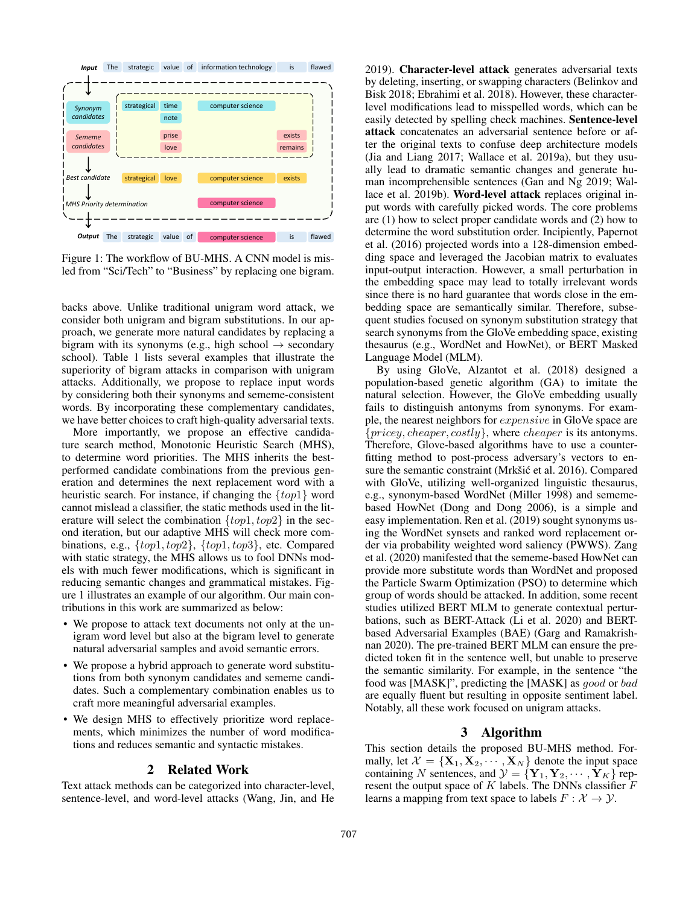

Figure 1: The workflow of BU-MHS. A CNN model is misled from "Sci/Tech" to "Business" by replacing one bigram.

backs above. Unlike traditional unigram word attack, we consider both unigram and bigram substitutions. In our approach, we generate more natural candidates by replacing a bigram with its synonyms (e.g., high school  $\rightarrow$  secondary school). Table 1 lists several examples that illustrate the superiority of bigram attacks in comparison with unigram attacks. Additionally, we propose to replace input words by considering both their synonyms and sememe-consistent words. By incorporating these complementary candidates, we have better choices to craft high-quality adversarial texts.

More importantly, we propose an effective candidature search method, Monotonic Heuristic Search (MHS), to determine word priorities. The MHS inherits the bestperformed candidate combinations from the previous generation and determines the next replacement word with a heuristic search. For instance, if changing the  $\{top1\}$  word cannot mislead a classifier, the static methods used in the literature will select the combination  $\{top1, top2\}$  in the second iteration, but our adaptive MHS will check more combinations, e.g., {top1, top2}, {top1, top3}, etc. Compared with static strategy, the MHS allows us to fool DNNs models with much fewer modifications, which is significant in reducing semantic changes and grammatical mistakes. Figure 1 illustrates an example of our algorithm. Our main contributions in this work are summarized as below:

- We propose to attack text documents not only at the unigram word level but also at the bigram level to generate natural adversarial samples and avoid semantic errors.
- We propose a hybrid approach to generate word substitutions from both synonym candidates and sememe candidates. Such a complementary combination enables us to craft more meaningful adversarial examples.
- We design MHS to effectively prioritize word replacements, which minimizes the number of word modifications and reduces semantic and syntactic mistakes.

### 2 Related Work

Text attack methods can be categorized into character-level, sentence-level, and word-level attacks (Wang, Jin, and He 2019). Character-level attack generates adversarial texts by deleting, inserting, or swapping characters (Belinkov and Bisk 2018; Ebrahimi et al. 2018). However, these characterlevel modifications lead to misspelled words, which can be easily detected by spelling check machines. Sentence-level attack concatenates an adversarial sentence before or after the original texts to confuse deep architecture models (Jia and Liang 2017; Wallace et al. 2019a), but they usually lead to dramatic semantic changes and generate human incomprehensible sentences (Gan and Ng 2019; Wallace et al. 2019b). Word-level attack replaces original input words with carefully picked words. The core problems are (1) how to select proper candidate words and (2) how to determine the word substitution order. Incipiently, Papernot et al. (2016) projected words into a 128-dimension embedding space and leveraged the Jacobian matrix to evaluates input-output interaction. However, a small perturbation in the embedding space may lead to totally irrelevant words since there is no hard guarantee that words close in the embedding space are semantically similar. Therefore, subsequent studies focused on synonym substitution strategy that search synonyms from the GloVe embedding space, existing thesaurus (e.g., WordNet and HowNet), or BERT Masked Language Model (MLM).

By using GloVe, Alzantot et al. (2018) designed a population-based genetic algorithm (GA) to imitate the natural selection. However, the GloVe embedding usually fails to distinguish antonyms from synonyms. For example, the nearest neighbors for expensive in GloVe space are  ${pricey, cheaper, costly}$ , where *cheaper* is its antonyms. Therefore, Glove-based algorithms have to use a counterfitting method to post-process adversary's vectors to ensure the semantic constraint (Mrkšić et al. 2016). Compared with GloVe, utilizing well-organized linguistic thesaurus, e.g., synonym-based WordNet (Miller 1998) and sememebased HowNet (Dong and Dong 2006), is a simple and easy implementation. Ren et al. (2019) sought synonyms using the WordNet synsets and ranked word replacement order via probability weighted word saliency (PWWS). Zang et al. (2020) manifested that the sememe-based HowNet can provide more substitute words than WordNet and proposed the Particle Swarm Optimization (PSO) to determine which group of words should be attacked. In addition, some recent studies utilized BERT MLM to generate contextual perturbations, such as BERT-Attack (Li et al. 2020) and BERTbased Adversarial Examples (BAE) (Garg and Ramakrishnan 2020). The pre-trained BERT MLM can ensure the predicted token fit in the sentence well, but unable to preserve the semantic similarity. For example, in the sentence "the food was [MASK]", predicting the [MASK] as good or bad are equally fluent but resulting in opposite sentiment label. Notably, all these work focused on unigram attacks.

# 3 Algorithm

This section details the proposed BU-MHS method. Formally, let  $\mathcal{X} = {\mathbf{X}_1, \mathbf{X}_2, \cdots, \mathbf{X}_N}$  denote the input space containing N sentences, and  $\mathcal{Y} = {\mathbf{Y}_1, \mathbf{Y}_2, \cdots, \mathbf{Y}_K}$  represent the output space of  $K$  labels. The DNNs classifier  $F$ learns a mapping from text space to labels  $F : \mathcal{X} \to \mathcal{Y}$ .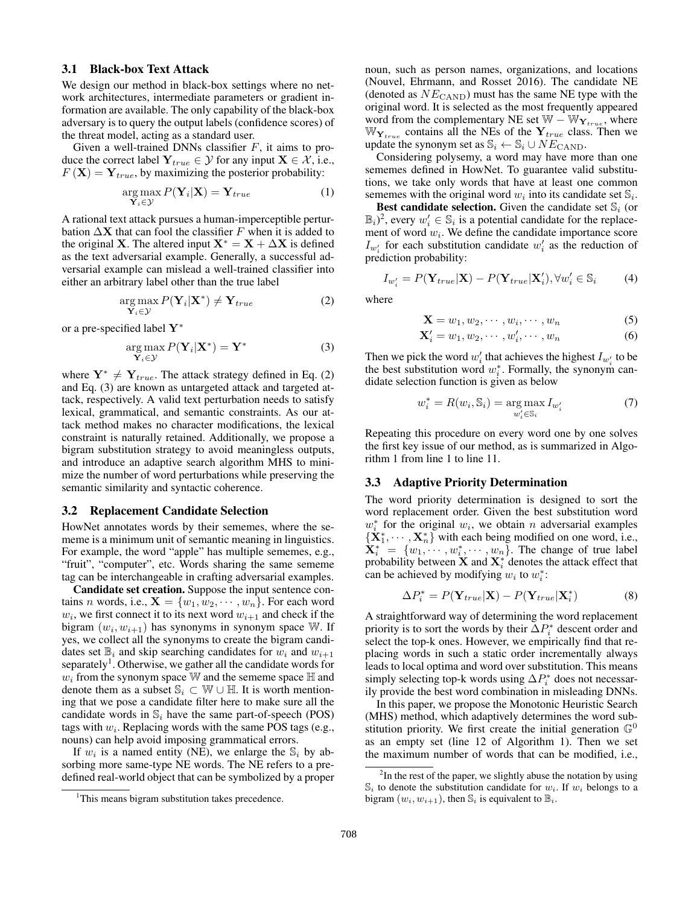#### 3.1 Black-box Text Attack

We design our method in black-box settings where no network architectures, intermediate parameters or gradient information are available. The only capability of the black-box adversary is to query the output labels (confidence scores) of the threat model, acting as a standard user.

Given a well-trained DNNs classifier  $F$ , it aims to produce the correct label  $Y_{true} \in \mathcal{Y}$  for any input  $X \in \mathcal{X}$ , i.e.,  $F(\mathbf{X}) = \mathbf{Y}_{true}$ , by maximizing the posterior probability:

$$
\underset{\mathbf{Y}_{i}\in\mathcal{Y}}{\arg\max} P(\mathbf{Y}_{i}|\mathbf{X}) = \mathbf{Y}_{true}
$$
\n(1)

A rational text attack pursues a human-imperceptible perturbation  $\Delta$ **X** that can fool the classifier F when it is added to the original **X**. The altered input  $X^* = X + \Delta X$  is defined as the text adversarial example. Generally, a successful adversarial example can mislead a well-trained classifier into either an arbitrary label other than the true label

$$
\underset{\mathbf{Y}_{i}\in\mathcal{Y}}{\arg\max} P(\mathbf{Y}_{i}|\mathbf{X}^{*}) \neq \mathbf{Y}_{true}
$$
\n(2)

or a pre-specified label Y<sup>∗</sup>

$$
\underset{\mathbf{Y}_{i}\in\mathcal{Y}}{\arg\max} P(\mathbf{Y}_{i}|\mathbf{X}^{*}) = \mathbf{Y}^{*}
$$
\n(3)

where  $Y^* \neq Y_{true}$ . The attack strategy defined in Eq. (2) and Eq. (3) are known as untargeted attack and targeted attack, respectively. A valid text perturbation needs to satisfy lexical, grammatical, and semantic constraints. As our attack method makes no character modifications, the lexical constraint is naturally retained. Additionally, we propose a bigram substitution strategy to avoid meaningless outputs, and introduce an adaptive search algorithm MHS to minimize the number of word perturbations while preserving the semantic similarity and syntactic coherence.

#### 3.2 Replacement Candidate Selection

HowNet annotates words by their sememes, where the sememe is a minimum unit of semantic meaning in linguistics. For example, the word "apple" has multiple sememes, e.g., "fruit", "computer", etc. Words sharing the same sememe tag can be interchangeable in crafting adversarial examples.

Candidate set creation. Suppose the input sentence contains *n* words, i.e.,  $X = \{w_1, w_2, \dots, w_n\}$ . For each word  $w_i$ , we first connect it to its next word  $w_{i+1}$  and check if the bigram  $(w_i, w_{i+1})$  has synonyms in synonym space W. If yes, we collect all the synonyms to create the bigram candidates set  $\mathbb{B}_i$  and skip searching candidates for  $w_i$  and  $w_{i+1}$ separately<sup>1</sup>. Otherwise, we gather all the candidate words for  $w_i$  from the synonym space W and the sememe space  $\mathbb H$  and denote them as a subset  $\mathbb{S}_i \subset \mathbb{W} \cup \mathbb{H}$ . It is worth mentioning that we pose a candidate filter here to make sure all the candidate words in  $\mathbb{S}_i$  have the same part-of-speech (POS) tags with  $w_i$ . Replacing words with the same POS tags (e.g., nouns) can help avoid imposing grammatical errors.

If  $w_i$  is a named entity (NE), we enlarge the  $\mathbb{S}_i$  by absorbing more same-type NE words. The NE refers to a predefined real-world object that can be symbolized by a proper

noun, such as person names, organizations, and locations (Nouvel, Ehrmann, and Rosset 2016). The candidate NE (denoted as  $NE<sub>CAND</sub>$ ) must has the same NE type with the original word. It is selected as the most frequently appeared word from the complementary NE set  $W - W_{Y_{true}}$ , where  $\mathbb{W}_{\mathbf{Y}_{true}}$  contains all the NEs of the  $\mathbf{Y}_{true}$  class. Then we update the synonym set as  $\mathbb{S}_i \leftarrow \mathbb{S}_i \cup NE_{\text{CAND}}$ .

Considering polysemy, a word may have more than one sememes defined in HowNet. To guarantee valid substitutions, we take only words that have at least one common sememes with the original word  $w_i$  into its candidate set  $\mathbb{S}_i$ .

**Best candidate selection.** Given the candidate set  $\mathbb{S}_i$  (or  $(\mathbb{B}_i)^2$ , every  $w'_i \in \mathbb{S}_i$  is a potential candidate for the replacement of word  $w_i$ . We define the candidate importance score  $I_{w'_i}$  for each substitution candidate  $w'_i$  as the reduction of prediction probability:

$$
I_{w_i'} = P(\mathbf{Y}_{true}|\mathbf{X}) - P(\mathbf{Y}_{true}|\mathbf{X}_i'), \forall w_i' \in \mathbb{S}_i
$$
 (4)

where

$$
\mathbf{X} = w_1, w_2, \cdots, w_i, \cdots, w_n \tag{5}
$$

$$
\mathbf{X}'_i = w_1, w_2, \cdots, w'_i, \cdots, w_n \tag{6}
$$

Then we pick the word  $w'_i$  that achieves the highest  $I_{w'_i}$  to be the best substitution word  $w_i^*$ . Formally, the synonym candidate selection function is given as below

$$
w_i^* = R(w_i, \mathbb{S}_i) = \underset{w_i' \in \mathbb{S}_i}{\arg \max} I_{w_i'} \tag{7}
$$

Repeating this procedure on every word one by one solves the first key issue of our method, as is summarized in Algorithm 1 from line 1 to line 11.

### 3.3 Adaptive Priority Determination

The word priority determination is designed to sort the word replacement order. Given the best substitution word  $w_i^*$  for the original  $w_i$ , we obtain n adversarial examples  ${\{\mathbf X_1^*, \cdots, \mathbf X_n^*\}}$  with each being modified on one word, i.e.,  $\mathbf{X}_{i}^{*} = \{w_{1}, \dots, w_{i}^{*}, \dots, w_{n}\}.$  The change of true label probability between  $X$  and  $X^*_i$  denotes the attack effect that can be achieved by modifying  $w_i$  to  $w_i^*$ :

$$
\Delta P_i^* = P(\mathbf{Y}_{true}|\mathbf{X}) - P(\mathbf{Y}_{true}|\mathbf{X}_i^*)
$$
(8)

A straightforward way of determining the word replacement priority is to sort the words by their  $\Delta P_i^*$  descent order and select the top-k ones. However, we empirically find that replacing words in such a static order incrementally always leads to local optima and word over substitution. This means simply selecting top-k words using  $\Delta P_i^*$  does not necessarily provide the best word combination in misleading DNNs.

In this paper, we propose the Monotonic Heuristic Search (MHS) method, which adaptively determines the word substitution priority. We first create the initial generation  $\mathbb{G}^0$ as an empty set (line 12 of Algorithm 1). Then we set the maximum number of words that can be modified, i.e.,

<sup>&</sup>lt;sup>1</sup>This means bigram substitution takes precedence.

 $2$ In the rest of the paper, we slightly abuse the notation by using  $\mathbb{S}_i$  to denote the substitution candidate for  $w_i$ . If  $w_i$  belongs to a bigram  $(w_i, w_{i+1})$ , then  $\mathbb{S}_i$  is equivalent to  $\mathbb{B}_i$ .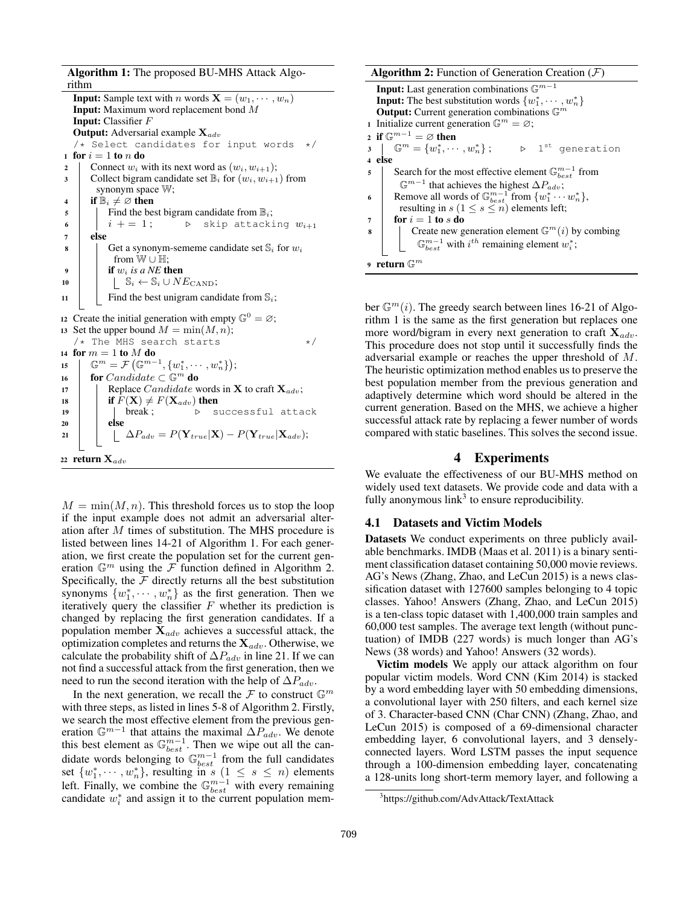Algorithm 1: The proposed BU-MHS Attack Algorithm

**Input:** Sample text with *n* words  $X = (w_1, \dots, w_n)$ Input: Maximum word replacement bond M Input: Classifier F **Output:** Adversarial example  $\mathbf{X}_{adv}$ /\* Select candidates for input words \*/ 1 for  $i = 1$  to n do 2 Connect  $w_i$  with its next word as  $(w_i, w_{i+1});$ 3 Collect bigram candidate set  $\mathbb{B}_i$  for  $(w_i, w_{i+1})$  from synonym space W; 4 if  $\mathbb{B}_i \neq \emptyset$  then  $\mathfrak{s}$  | Find the best bigram candidate from  $\mathbb{B}_i$ ; 6  $i + = 1;$  b skip attacking  $w_{i+1}$ <sup>7</sup> else 8 Get a synonym-sememe candidate set  $\mathbb{S}_i$  for  $w_i$ from W ∪ H; 9 **if**  $w_i$  *is a NE* then 10  $\vert \vert$   $\mathbb{S}_i \leftarrow \mathbb{S}_i \cup NE_{\text{CAND}};$ 11 | Find the best unigram candidate from  $\mathbb{S}_i$ ; 12 Create the initial generation with empty  $\mathbb{G}^0 = \varnothing$ ; 13 Set the upper bound  $M = min(M, n);$  $/*$  The MHS search starts  $*/$ 14 for  $m = 1$  to  $M$  do 15  $\mathbb{G}^m = \mathcal{F}(\mathbb{G}^{m-1}, \{w_1^*, \cdots, w_n^*\});$ 16 for Candidate  $\subset \mathbb{G}^m$  do 17 Replace *Candidate* words in **X** to craft  $\mathbf{X}_{adv}$ ; 18 **if**  $F(\mathbf{X}) \neq F(\mathbf{X}_{adv})$  then  $19$  | | break;  $\triangleright$  successful attack 20 | else 21  $\Box$   $\Box P_{adv} = P(\mathbf{Y}_{true}|\mathbf{X}) - P(\mathbf{Y}_{true}|\mathbf{X}_{adv});$ 22 return  $\mathbf{X}_{adv}$ 

 $M = min(M, n)$ . This threshold forces us to stop the loop if the input example does not admit an adversarial alteration after M times of substitution. The MHS procedure is listed between lines 14-21 of Algorithm 1. For each generation, we first create the population set for the current generation  $\mathbb{G}^m$  using the F function defined in Algorithm 2. Specifically, the  $F$  directly returns all the best substitution synonyms  $\{w_1^*, \dots, w_n^*\}$  as the first generation. Then we iteratively query the classifier  $F$  whether its prediction is changed by replacing the first generation candidates. If a population member  $X_{adv}$  achieves a successful attack, the optimization completes and returns the  $\mathbf{X}_{adv}$ . Otherwise, we calculate the probability shift of  $\Delta P_{adv}$  in line 21. If we can not find a successful attack from the first generation, then we need to run the second iteration with the help of  $\Delta P_{adv}$ .

In the next generation, we recall the  $\mathcal F$  to construct  $\mathbb G^m$ with three steps, as listed in lines 5-8 of Algorithm 2. Firstly, we search the most effective element from the previous generation  $\mathbb{G}^{m-1}$  that attains the maximal  $\Delta P_{adv}$ . We denote this best element as  $\mathbb{G}_{best}^{m-1}$ . Then we wipe out all the candidate words belonging to  $\mathbb{G}_{best}^{m-1}$  from the full candidates set  $\{w_1^*, \dots, w_n^*\}$ , resulting in s  $(1 \leq s \leq n)$  elements left. Finally, we combine the  $\mathbb{G}_{best}^{m-1}$  with every remaining candidate  $w_i^*$  and assign it to the current population mem**Algorithm 2:** Function of Generation Creation  $(F)$ 

**Input:** Last generation combinations  $\mathbb{G}^{m-1}$ **Input:** The best substitution words  $\{w_1^*, \cdots, w_n^*\}$ **Output:** Current generation combinations  $\mathbb{G}^m$ 1 Initialize current generation  $\mathbb{G}^m = \varnothing$ ; 2 if  $\mathbb{G}^{m-1} = \varnothing$  then  $\mathbf{3} \left[ \begin{array}{c} \mathbb{G}^m = \{w_1^*, \cdots, w_n^*\}; \end{array} \right] \quad \triangleright \quad \mathbb{1}^{\text{st}}$  generation <sup>4</sup> else 5 Search for the most effective element  $\mathbb{G}_{best}^{m-1}$  from  $\mathbb{G}^{m-1}$  that achieves the highest  $\Delta P_{adv}$ ; 6 Remove all words of  $\mathbb{G}_{best}^{m-1}$  from  $\{w_1^* \cdots w_n^*\}$ , resulting in  $s$  ( $1 \leq s \leq n$ ) elements left;  $7 \quad | \quad \text{for } i = 1 \text{ to } s \text{ do}$ 8 | Create new generation element  $\mathbb{G}^m(i)$  by combing  $\mathbb{G}_{best}^{m-1}$  with  $i^{th}$  remaining element  $w_i^*$ ;  $^{\mathrm{9}}$  return  $\mathbb{G}^{m}$ 

ber  $\mathbb{G}^m(i)$ . The greedy search between lines 16-21 of Algorithm 1 is the same as the first generation but replaces one more word/bigram in every next generation to craft  $\mathbf{X}_{adv}$ . This procedure does not stop until it successfully finds the adversarial example or reaches the upper threshold of M. The heuristic optimization method enables us to preserve the best population member from the previous generation and adaptively determine which word should be altered in the current generation. Based on the MHS, we achieve a higher successful attack rate by replacing a fewer number of words compared with static baselines. This solves the second issue.

# 4 Experiments

We evaluate the effectiveness of our BU-MHS method on widely used text datasets. We provide code and data with a fully anonymous link<sup>3</sup> to ensure reproducibility.

#### 4.1 Datasets and Victim Models

Datasets We conduct experiments on three publicly available benchmarks. IMDB (Maas et al. 2011) is a binary sentiment classification dataset containing 50,000 movie reviews. AG's News (Zhang, Zhao, and LeCun 2015) is a news classification dataset with 127600 samples belonging to 4 topic classes. Yahoo! Answers (Zhang, Zhao, and LeCun 2015) is a ten-class topic dataset with 1,400,000 train samples and 60,000 test samples. The average text length (without punctuation) of IMDB (227 words) is much longer than AG's News (38 words) and Yahoo! Answers (32 words).

Victim models We apply our attack algorithm on four popular victim models. Word CNN (Kim 2014) is stacked by a word embedding layer with 50 embedding dimensions, a convolutional layer with 250 filters, and each kernel size of 3. Character-based CNN (Char CNN) (Zhang, Zhao, and LeCun 2015) is composed of a 69-dimensional character embedding layer, 6 convolutional layers, and 3 denselyconnected layers. Word LSTM passes the input sequence through a 100-dimension embedding layer, concatenating a 128-units long short-term memory layer, and following a

<sup>3</sup> https://github.com/AdvAttack/TextAttack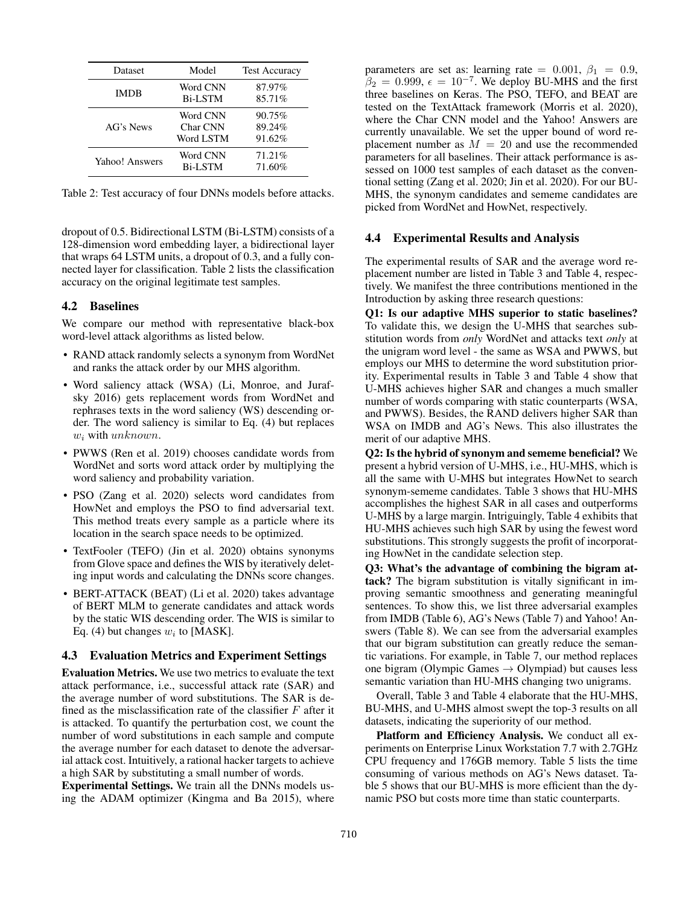| Dataset        | Model                             | <b>Test Accuracy</b>       |
|----------------|-----------------------------------|----------------------------|
| <b>IMDB</b>    | Word CNN<br><b>Bi-LSTM</b>        | 87.97%<br>85.71%           |
| AG's News      | Word CNN<br>Char CNN<br>Word LSTM | 90.75%<br>89.24%<br>91.62% |
| Yahoo! Answers | Word CNN<br><b>Bi-LSTM</b>        | 71.21%<br>71.60%           |

Table 2: Test accuracy of four DNNs models before attacks.

dropout of 0.5. Bidirectional LSTM (Bi-LSTM) consists of a 128-dimension word embedding layer, a bidirectional layer that wraps 64 LSTM units, a dropout of 0.3, and a fully connected layer for classification. Table 2 lists the classification accuracy on the original legitimate test samples.

#### 4.2 Baselines

We compare our method with representative black-box word-level attack algorithms as listed below.

- RAND attack randomly selects a synonym from WordNet and ranks the attack order by our MHS algorithm.
- Word saliency attack (WSA) (Li, Monroe, and Jurafsky 2016) gets replacement words from WordNet and rephrases texts in the word saliency (WS) descending order. The word saliency is similar to Eq. (4) but replaces w<sup>i</sup> with unknown.
- PWWS (Ren et al. 2019) chooses candidate words from WordNet and sorts word attack order by multiplying the word saliency and probability variation.
- PSO (Zang et al. 2020) selects word candidates from HowNet and employs the PSO to find adversarial text. This method treats every sample as a particle where its location in the search space needs to be optimized.
- TextFooler (TEFO) (Jin et al. 2020) obtains synonyms from Glove space and defines the WIS by iteratively deleting input words and calculating the DNNs score changes.
- BERT-ATTACK (BEAT) (Li et al. 2020) takes advantage of BERT MLM to generate candidates and attack words by the static WIS descending order. The WIS is similar to Eq. (4) but changes  $w_i$  to [MASK].

#### 4.3 Evaluation Metrics and Experiment Settings

Evaluation Metrics. We use two metrics to evaluate the text attack performance, i.e., successful attack rate (SAR) and the average number of word substitutions. The SAR is defined as the misclassification rate of the classifier  $F$  after it is attacked. To quantify the perturbation cost, we count the number of word substitutions in each sample and compute the average number for each dataset to denote the adversarial attack cost. Intuitively, a rational hacker targets to achieve a high SAR by substituting a small number of words.

Experimental Settings. We train all the DNNs models using the ADAM optimizer (Kingma and Ba 2015), where parameters are set as: learning rate = 0.001,  $\beta_1$  = 0.9,  $\hat{\beta}_2 = 0.999$ ,  $\epsilon = 10^{-7}$ . We deploy BU-MHS and the first three baselines on Keras. The PSO, TEFO, and BEAT are tested on the TextAttack framework (Morris et al. 2020), where the Char CNN model and the Yahoo! Answers are currently unavailable. We set the upper bound of word replacement number as  $M = 20$  and use the recommended parameters for all baselines. Their attack performance is assessed on 1000 test samples of each dataset as the conventional setting (Zang et al. 2020; Jin et al. 2020). For our BU-MHS, the synonym candidates and sememe candidates are picked from WordNet and HowNet, respectively.

# 4.4 Experimental Results and Analysis

The experimental results of SAR and the average word replacement number are listed in Table 3 and Table 4, respectively. We manifest the three contributions mentioned in the Introduction by asking three research questions:

Q1: Is our adaptive MHS superior to static baselines? To validate this, we design the U-MHS that searches substitution words from *only* WordNet and attacks text *only* at the unigram word level - the same as WSA and PWWS, but employs our MHS to determine the word substitution priority. Experimental results in Table 3 and Table 4 show that U-MHS achieves higher SAR and changes a much smaller number of words comparing with static counterparts (WSA, and PWWS). Besides, the RAND delivers higher SAR than WSA on IMDB and AG's News. This also illustrates the merit of our adaptive MHS.

Q2: Is the hybrid of synonym and sememe beneficial? We present a hybrid version of U-MHS, i.e., HU-MHS, which is all the same with U-MHS but integrates HowNet to search synonym-sememe candidates. Table 3 shows that HU-MHS accomplishes the highest SAR in all cases and outperforms U-MHS by a large margin. Intriguingly, Table 4 exhibits that HU-MHS achieves such high SAR by using the fewest word substitutions. This strongly suggests the profit of incorporating HowNet in the candidate selection step.

Q3: What's the advantage of combining the bigram attack? The bigram substitution is vitally significant in improving semantic smoothness and generating meaningful sentences. To show this, we list three adversarial examples from IMDB (Table 6), AG's News (Table 7) and Yahoo! Answers (Table 8). We can see from the adversarial examples that our bigram substitution can greatly reduce the semantic variations. For example, in Table 7, our method replaces one bigram (Olympic Games  $\rightarrow$  Olympiad) but causes less semantic variation than HU-MHS changing two unigrams.

Overall, Table 3 and Table 4 elaborate that the HU-MHS, BU-MHS, and U-MHS almost swept the top-3 results on all datasets, indicating the superiority of our method.

Platform and Efficiency Analysis. We conduct all experiments on Enterprise Linux Workstation 7.7 with 2.7GHz CPU frequency and 176GB memory. Table 5 lists the time consuming of various methods on AG's News dataset. Table 5 shows that our BU-MHS is more efficient than the dynamic PSO but costs more time than static counterparts.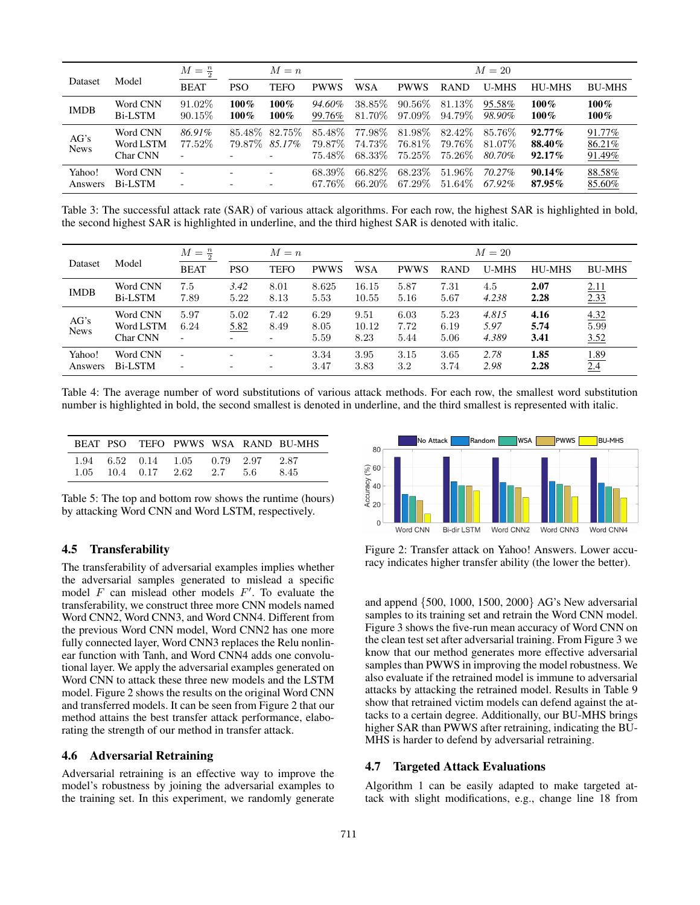|                     |                                   | $M=\frac{n}{2}$          |                    | $M = n$                   |                               | $M=20$                     |                               |                                |                              |                                  |                            |
|---------------------|-----------------------------------|--------------------------|--------------------|---------------------------|-------------------------------|----------------------------|-------------------------------|--------------------------------|------------------------------|----------------------------------|----------------------------|
| Dataset             | Model                             | <b>BEAT</b>              | <b>PSO</b>         | <b>TEFO</b>               | <b>PWWS</b>                   | <b>WSA</b>                 | <b>PWWS</b>                   | <b>RAND</b>                    | <b>U-MHS</b>                 | <b>HU-MHS</b>                    | <b>BU-MHS</b>              |
| <b>IMDB</b>         | Word CNN<br>Bi-LSTM               | $91.02\%$<br>$90.15\%$   | $100\%$<br>$100\%$ | $100\%$<br>$100\%$        | 94.60%<br>99.76%              | 38.85\%<br>81.70%          | $90.56\%$<br>97.09%           | 81.13\%<br>94.79%              | 95.58%<br>98.90%             | $100\%$<br>$100\%$               | $100\%$<br>$100\%$         |
| AG's<br><b>News</b> | Word CNN<br>Word LSTM<br>Char CNN | 86.91%<br>77.52%         | 79.87%             | 85.48\% 82.75\%<br>85.17% | 85.48\%<br>79.87\%<br>75.48\% | 77.98%<br>74.73%<br>68.33% | 81.98%<br>76.81%<br>$75.25\%$ | 82.42\%<br>79.76%<br>$75.26\%$ | 85.76\%<br>81.07\%<br>80.70% | $92.77\%$<br>88.40%<br>$92.17\%$ | 91.77%<br>86.21%<br>91.49% |
| Yahoo!<br>Answers   | Word CNN<br><b>Bi-LSTM</b>        | $\overline{\phantom{a}}$ |                    | $\overline{\phantom{0}}$  | 68.39\%<br>67.76\%            | 66.82\%<br>66.20%          | 68.23\%<br>67.29%             | 51.96\%<br>51.64\%             | 70.27%<br>67.92%             | $90.14\%$<br>87.95%              | 88.58%<br>85.60%           |

Table 3: The successful attack rate (SAR) of various attack algorithms. For each row, the highest SAR is highlighted in bold, the second highest SAR is highlighted in underline, and the third highest SAR is denoted with italic.

|                     |                                   | $M=\frac{n}{2}$                                      |              | $M = n$                                              |                      |                       |                      |                      | $M=20$                 |                      |                      |
|---------------------|-----------------------------------|------------------------------------------------------|--------------|------------------------------------------------------|----------------------|-----------------------|----------------------|----------------------|------------------------|----------------------|----------------------|
| Dataset             | Model                             | <b>BEAT</b>                                          | <b>PSO</b>   | <b>TEFO</b>                                          | <b>PWWS</b>          | <b>WSA</b>            | <b>PWWS</b>          | <b>RAND</b>          | <b>U-MHS</b>           | <b>HU-MHS</b>        | <b>BU-MHS</b>        |
| <b>IMDB</b>         | Word CNN<br><b>Bi-LSTM</b>        | 7.5<br>7.89                                          | 3.42<br>5.22 | 8.01<br>8.13                                         | 8.625<br>5.53        | 16.15<br>10.55        | 5.87<br>5.16         | 7.31<br>5.67         | 4.5<br>4.238           | 2.07<br>2.28         | 2.11<br>2.33         |
| AG's<br><b>News</b> | Word CNN<br>Word LSTM<br>Char CNN | 5.97<br>6.24<br>$\overline{\phantom{a}}$             | 5.02<br>5.82 | 7.42<br>8.49<br>$\overline{\phantom{0}}$             | 6.29<br>8.05<br>5.59 | 9.51<br>10.12<br>8.23 | 6.03<br>7.72<br>5.44 | 5.23<br>6.19<br>5.06 | 4.815<br>5.97<br>4.389 | 4.16<br>5.74<br>3.41 | 4.32<br>5.99<br>3.52 |
| Yahoo!<br>Answers   | Word CNN<br><b>Bi-LSTM</b>        | $\overline{\phantom{a}}$<br>$\overline{\phantom{a}}$ |              | $\overline{\phantom{0}}$<br>$\overline{\phantom{a}}$ | 3.34<br>3.47         | 3.95<br>3.83          | 3.15<br>3.2          | 3.65<br>3.74         | 2.78<br>2.98           | 1.85<br>2.28         | 1.89<br>2.4          |

Table 4: The average number of word substitutions of various attack methods. For each row, the smallest word substitution number is highlighted in bold, the second smallest is denoted in underline, and the third smallest is represented with italic.

|  |                                                                               |  | BEAT PSO TEFO PWWS WSA RAND BU-MHS |
|--|-------------------------------------------------------------------------------|--|------------------------------------|
|  | 1.94 6.52 0.14 1.05 0.79 2.97 2.87<br>$1.05$ $10.4$ $0.17$ $2.62$ $2.7$ $5.6$ |  | 8.45                               |

Table 5: The top and bottom row shows the runtime (hours) by attacking Word CNN and Word LSTM, respectively.

## 4.5 Transferability

The transferability of adversarial examples implies whether the adversarial samples generated to mislead a specific model  $F$  can mislead other models  $F'$ . To evaluate the transferability, we construct three more CNN models named Word CNN2, Word CNN3, and Word CNN4. Different from the previous Word CNN model, Word CNN2 has one more fully connected layer, Word CNN3 replaces the Relu nonlinear function with Tanh, and Word CNN4 adds one convolutional layer. We apply the adversarial examples generated on Word CNN to attack these three new models and the LSTM model. Figure 2 shows the results on the original Word CNN and transferred models. It can be seen from Figure 2 that our method attains the best transfer attack performance, elaborating the strength of our method in transfer attack.

#### 4.6 Adversarial Retraining

Adversarial retraining is an effective way to improve the model's robustness by joining the adversarial examples to the training set. In this experiment, we randomly generate



Figure 2: Transfer attack on Yahoo! Answers. Lower accuracy indicates higher transfer ability (the lower the better).

and append {500, 1000, 1500, 2000} AG's New adversarial samples to its training set and retrain the Word CNN model. Figure 3 shows the five-run mean accuracy of Word CNN on the clean test set after adversarial training. From Figure 3 we know that our method generates more effective adversarial samples than PWWS in improving the model robustness. We also evaluate if the retrained model is immune to adversarial attacks by attacking the retrained model. Results in Table 9 show that retrained victim models can defend against the attacks to a certain degree. Additionally, our BU-MHS brings higher SAR than PWWS after retraining, indicating the BU-MHS is harder to defend by adversarial retraining.

## 4.7 Targeted Attack Evaluations

Algorithm 1 can be easily adapted to make targeted attack with slight modifications, e.g., change line 18 from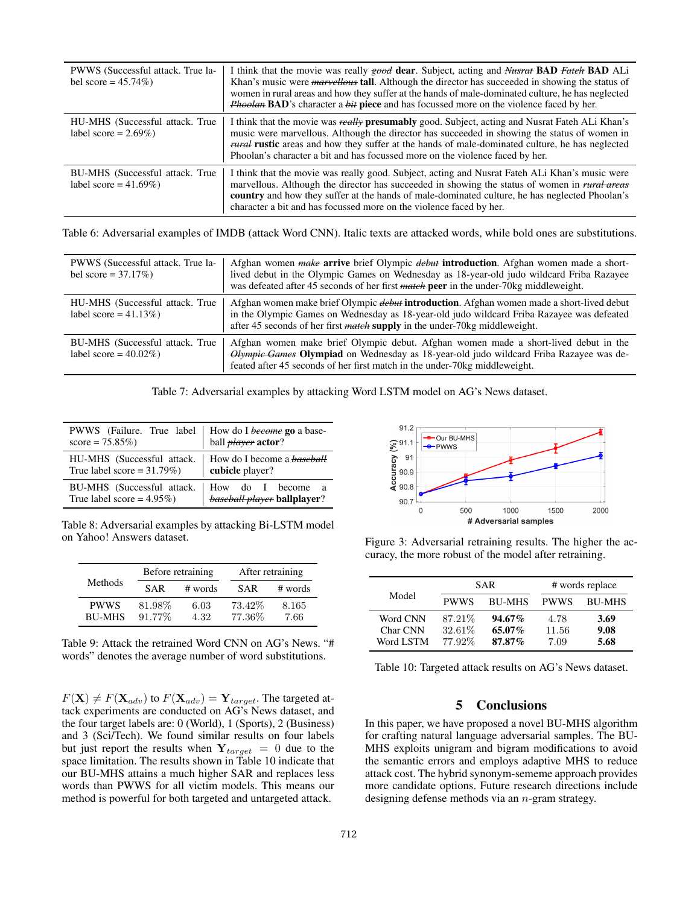| PWWS (Successful attack. True la-<br>bel score = $45.74\%$ ) | I think that the movie was really good dear. Subject, acting and Nusrat <b>BAD</b> Fatch <b>BAD</b> ALi<br>Khan's music were <i>marvellous</i> tall. Although the director has succeeded in showing the status of<br>women in rural areas and how they suffer at the hands of male-dominated culture, he has neglected<br><i>Phoolan</i> <b>BAD</b> 's character a <i>bit</i> piece and has focussed more on the violence faced by her. |
|--------------------------------------------------------------|-----------------------------------------------------------------------------------------------------------------------------------------------------------------------------------------------------------------------------------------------------------------------------------------------------------------------------------------------------------------------------------------------------------------------------------------|
| HU-MHS (Successful attack. True<br>label score = $2.69\%$ )  | I think that the movie was really <b>presumably</b> good. Subject, acting and Nusrat Fateh ALi Khan's<br>music were marvellous. Although the director has succeeded in showing the status of women in<br><i>rural</i> rustic areas and how they suffer at the hands of male-dominated culture, he has neglected<br>Phoolan's character a bit and has focussed more on the violence faced by her.                                        |
| BU-MHS (Successful attack. True<br>label score = $41.69\%$ ) | I think that the movie was really good. Subject, acting and Nusrat Fateh ALi Khan's music were<br>marvellous. Although the director has succeeded in showing the status of women in rural areas<br><b>country</b> and how they suffer at the hands of male-dominated culture, he has neglected Phoolan's<br>character a bit and has focussed more on the violence faced by her.                                                         |

Table 6: Adversarial examples of IMDB (attack Word CNN). Italic texts are attacked words, while bold ones are substitutions.

| PWWS (Successful attack. True la-<br>bel score = $37.17\%$ ) | Afghan women <i>make</i> arrive brief Olympic <i>debut</i> introduction. Afghan women made a short-<br>lived debut in the Olympic Games on Wednesday as 18-year-old judo wildcard Friba Razayee<br>was defeated after 45 seconds of her first <i>match</i> peer in the under-70kg middleweight. |
|--------------------------------------------------------------|-------------------------------------------------------------------------------------------------------------------------------------------------------------------------------------------------------------------------------------------------------------------------------------------------|
| HU-MHS (Successful attack. True<br>label score = $41.13\%$ ) | Afghan women make brief Olympic <i>debut</i> introduction. Afghan women made a short-lived debut<br>in the Olympic Games on Wednesday as 18-year-old judo wildcard Friba Razayee was defeated<br>after 45 seconds of her first <i>match</i> supply in the under-70kg middleweight.              |
| BU-MHS (Successful attack. True<br>label score = $40.02\%$ ) | Afghan women make brief Olympic debut. Afghan women made a short-lived debut in the<br><i>Olympic Games</i> Olympiad on Wednesday as 18-year-old judo wildcard Friba Razayee was de-<br>feated after 45 seconds of her first match in the under-70 kg middle weight.                            |

Table 7: Adversarial examples by attacking Word LSTM model on AG's News dataset.

| PWWS (Failure. True label   How do I <i>become</i> go a basescore = 75.85%) |                                                       |
|-----------------------------------------------------------------------------|-------------------------------------------------------|
| HU-MHS (Successful attack.<br>True label score = $31.79\%$ )                | How do I become a <b>baseball</b><br>cubicle player?  |
| BU-MHS (Successful attack.<br>True label score = $4.95\%$ )                 | How do I become<br>— а<br>baseball player ballplayer? |

Table 8: Adversarial examples by attacking Bi-LSTM model on Yahoo! Answers dataset.

| Methods                      |                  | Before retraining | After retraining |               |  |
|------------------------------|------------------|-------------------|------------------|---------------|--|
|                              | <b>SAR</b>       | # words           | <b>SAR</b>       | # words       |  |
| <b>PWWS</b><br><b>BU-MHS</b> | 81.98%<br>91.77% | 6.03<br>4.32      | 73.42%<br>77.36% | 8.165<br>7.66 |  |

Table 9: Attack the retrained Word CNN on AG's News. "# words" denotes the average number of word substitutions.

 $F(\mathbf{X}) \neq F(\mathbf{X}_{adv})$  to  $F(\mathbf{X}_{adv}) = \mathbf{Y}_{target}$ . The targeted attack experiments are conducted on AG's News dataset, and the four target labels are: 0 (World), 1 (Sports), 2 (Business) and 3 (Sci/Tech). We found similar results on four labels but just report the results when  $Y_{target} = 0$  due to the space limitation. The results shown in Table 10 indicate that our BU-MHS attains a much higher SAR and replaces less words than PWWS for all victim models. This means our method is powerful for both targeted and untargeted attack.



Figure 3: Adversarial retraining results. The higher the accuracy, the more robust of the model after retraining.

|                      |                    | <b>SAR</b>             | # words replace |               |  |
|----------------------|--------------------|------------------------|-----------------|---------------|--|
| Model                | <b>PWWS</b>        | <b>BU-MHS</b>          | <b>PWWS</b>     | <b>BU-MHS</b> |  |
| Word CNN<br>Char CNN | 87.21\%<br>32.61\% | $94.67\%$<br>$65.07\%$ | 4.78<br>11.56   | 3.69<br>9.08  |  |
| Word LSTM            | 77.92%             | $87.87\%$              | 7.09            | 5.68          |  |

Table 10: Targeted attack results on AG's News dataset.

#### 5 Conclusions

In this paper, we have proposed a novel BU-MHS algorithm for crafting natural language adversarial samples. The BU-MHS exploits unigram and bigram modifications to avoid the semantic errors and employs adaptive MHS to reduce attack cost. The hybrid synonym-sememe approach provides more candidate options. Future research directions include designing defense methods via an n-gram strategy.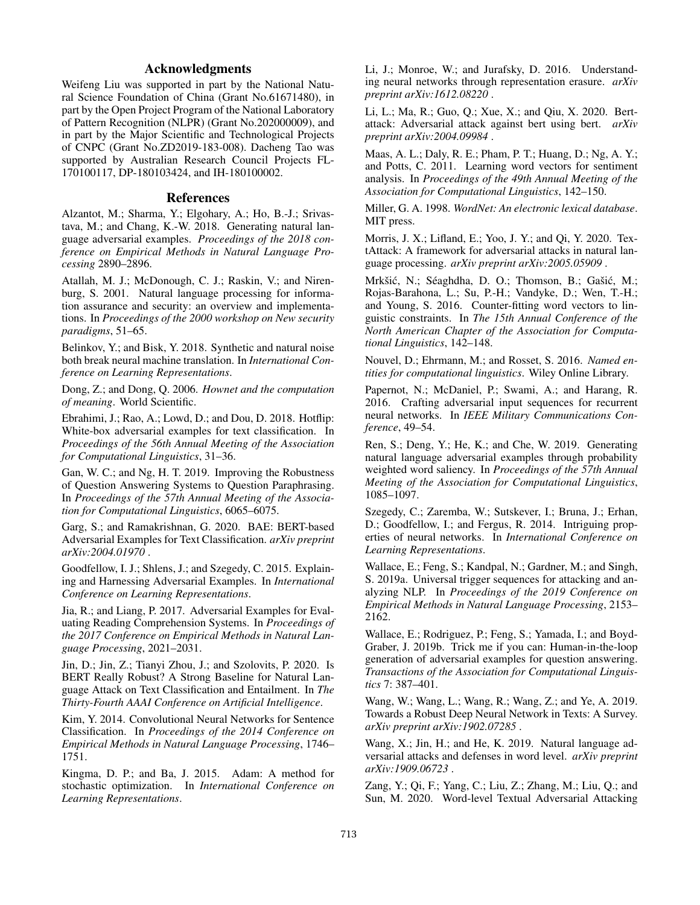# Acknowledgments

Weifeng Liu was supported in part by the National Natural Science Foundation of China (Grant No.61671480), in part by the Open Project Program of the National Laboratory of Pattern Recognition (NLPR) (Grant No.202000009), and in part by the Major Scientific and Technological Projects of CNPC (Grant No.ZD2019-183-008). Dacheng Tao was supported by Australian Research Council Projects FL-170100117, DP-180103424, and IH-180100002.

#### References

Alzantot, M.; Sharma, Y.; Elgohary, A.; Ho, B.-J.; Srivastava, M.; and Chang, K.-W. 2018. Generating natural language adversarial examples. *Proceedings of the 2018 conference on Empirical Methods in Natural Language Processing* 2890–2896.

Atallah, M. J.; McDonough, C. J.; Raskin, V.; and Nirenburg, S. 2001. Natural language processing for information assurance and security: an overview and implementations. In *Proceedings of the 2000 workshop on New security paradigms*, 51–65.

Belinkov, Y.; and Bisk, Y. 2018. Synthetic and natural noise both break neural machine translation. In *International Conference on Learning Representations*.

Dong, Z.; and Dong, Q. 2006. *Hownet and the computation of meaning*. World Scientific.

Ebrahimi, J.; Rao, A.; Lowd, D.; and Dou, D. 2018. Hotflip: White-box adversarial examples for text classification. In *Proceedings of the 56th Annual Meeting of the Association for Computational Linguistics*, 31–36.

Gan, W. C.; and Ng, H. T. 2019. Improving the Robustness of Question Answering Systems to Question Paraphrasing. In *Proceedings of the 57th Annual Meeting of the Association for Computational Linguistics*, 6065–6075.

Garg, S.; and Ramakrishnan, G. 2020. BAE: BERT-based Adversarial Examples for Text Classification. *arXiv preprint arXiv:2004.01970* .

Goodfellow, I. J.; Shlens, J.; and Szegedy, C. 2015. Explaining and Harnessing Adversarial Examples. In *International Conference on Learning Representations*.

Jia, R.; and Liang, P. 2017. Adversarial Examples for Evaluating Reading Comprehension Systems. In *Proceedings of the 2017 Conference on Empirical Methods in Natural Language Processing*, 2021–2031.

Jin, D.; Jin, Z.; Tianyi Zhou, J.; and Szolovits, P. 2020. Is BERT Really Robust? A Strong Baseline for Natural Language Attack on Text Classification and Entailment. In *The Thirty-Fourth AAAI Conference on Artificial Intelligence*.

Kim, Y. 2014. Convolutional Neural Networks for Sentence Classification. In *Proceedings of the 2014 Conference on Empirical Methods in Natural Language Processing*, 1746– 1751.

Kingma, D. P.; and Ba, J. 2015. Adam: A method for stochastic optimization. In *International Conference on Learning Representations*.

Li, J.; Monroe, W.; and Jurafsky, D. 2016. Understanding neural networks through representation erasure. *arXiv preprint arXiv:1612.08220* .

Li, L.; Ma, R.; Guo, Q.; Xue, X.; and Qiu, X. 2020. Bertattack: Adversarial attack against bert using bert. *arXiv preprint arXiv:2004.09984* .

Maas, A. L.; Daly, R. E.; Pham, P. T.; Huang, D.; Ng, A. Y.; and Potts, C. 2011. Learning word vectors for sentiment analysis. In *Proceedings of the 49th Annual Meeting of the Association for Computational Linguistics*, 142–150.

Miller, G. A. 1998. *WordNet: An electronic lexical database*. MIT press.

Morris, J. X.; Lifland, E.; Yoo, J. Y.; and Qi, Y. 2020. TextAttack: A framework for adversarial attacks in natural language processing. *arXiv preprint arXiv:2005.05909* .

Mrkšić, N.; Séaghdha, D. O.; Thomson, B.; Gašić, M.; Rojas-Barahona, L.; Su, P.-H.; Vandyke, D.; Wen, T.-H.; and Young, S. 2016. Counter-fitting word vectors to linguistic constraints. In *The 15th Annual Conference of the North American Chapter of the Association for Computational Linguistics*, 142–148.

Nouvel, D.; Ehrmann, M.; and Rosset, S. 2016. *Named entities for computational linguistics*. Wiley Online Library.

Papernot, N.; McDaniel, P.; Swami, A.; and Harang, R. 2016. Crafting adversarial input sequences for recurrent neural networks. In *IEEE Military Communications Conference*, 49–54.

Ren, S.; Deng, Y.; He, K.; and Che, W. 2019. Generating natural language adversarial examples through probability weighted word saliency. In *Proceedings of the 57th Annual Meeting of the Association for Computational Linguistics*, 1085–1097.

Szegedy, C.; Zaremba, W.; Sutskever, I.; Bruna, J.; Erhan, D.; Goodfellow, I.; and Fergus, R. 2014. Intriguing properties of neural networks. In *International Conference on Learning Representations*.

Wallace, E.; Feng, S.; Kandpal, N.; Gardner, M.; and Singh, S. 2019a. Universal trigger sequences for attacking and analyzing NLP. In *Proceedings of the 2019 Conference on Empirical Methods in Natural Language Processing*, 2153– 2162.

Wallace, E.; Rodriguez, P.; Feng, S.; Yamada, I.; and Boyd-Graber, J. 2019b. Trick me if you can: Human-in-the-loop generation of adversarial examples for question answering. *Transactions of the Association for Computational Linguistics* 7: 387–401.

Wang, W.; Wang, L.; Wang, R.; Wang, Z.; and Ye, A. 2019. Towards a Robust Deep Neural Network in Texts: A Survey. *arXiv preprint arXiv:1902.07285* .

Wang, X.; Jin, H.; and He, K. 2019. Natural language adversarial attacks and defenses in word level. *arXiv preprint arXiv:1909.06723* .

Zang, Y.; Qi, F.; Yang, C.; Liu, Z.; Zhang, M.; Liu, Q.; and Sun, M. 2020. Word-level Textual Adversarial Attacking